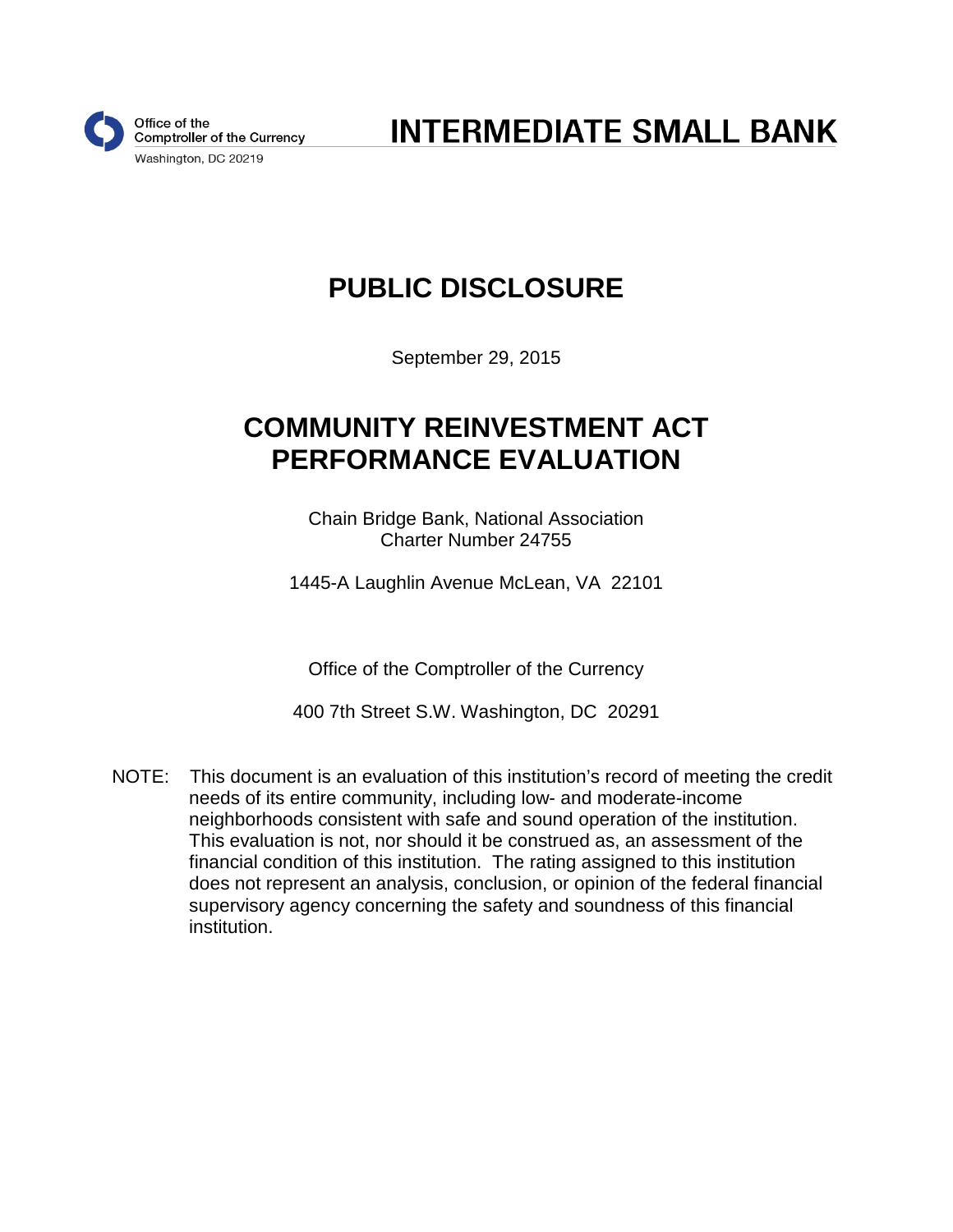

**INTERMEDIATE SMALL BANK** 

# **PUBLIC DISCLOSURE**

September 29, 2015

# **COMMUNITY REINVESTMENT ACT PERFORMANCE EVALUATION**

Chain Bridge Bank, National Association Charter Number 24755

1445-A Laughlin Avenue McLean, VA 22101

Office of the Comptroller of the Currency

400 7th Street S.W. Washington, DC 20291

NOTE: This document is an evaluation of this institution's record of meeting the credit needs of its entire community, including low- and moderate-income neighborhoods consistent with safe and sound operation of the institution. This evaluation is not, nor should it be construed as, an assessment of the financial condition of this institution. The rating assigned to this institution does not represent an analysis, conclusion, or opinion of the federal financial supervisory agency concerning the safety and soundness of this financial institution.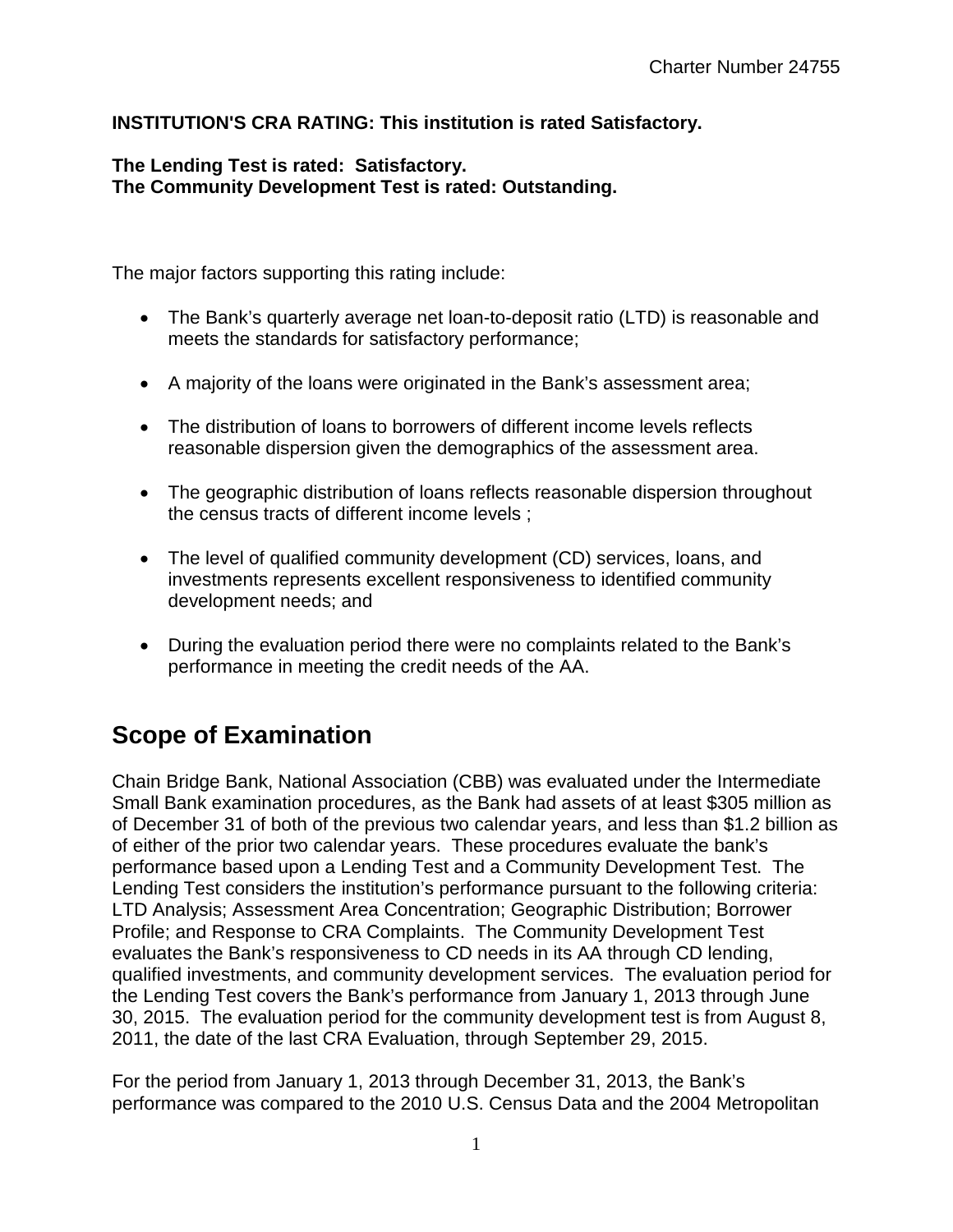### **INSTITUTION'S CRA RATING: This institution is rated Satisfactory.**

#### **The Lending Test is rated: Satisfactory. The Community Development Test is rated: Outstanding.**

The major factors supporting this rating include:

- The Bank's quarterly average net loan-to-deposit ratio (LTD) is reasonable and meets the standards for satisfactory performance;
- A majority of the loans were originated in the Bank's assessment area;
- The distribution of loans to borrowers of different income levels reflects reasonable dispersion given the demographics of the assessment area.
- The geographic distribution of loans reflects reasonable dispersion throughout the census tracts of different income levels ;
- The level of qualified community development (CD) services, loans, and investments represents excellent responsiveness to identified community development needs; and
- During the evaluation period there were no complaints related to the Bank's performance in meeting the credit needs of the AA.

## **Scope of Examination**

Chain Bridge Bank, National Association (CBB) was evaluated under the Intermediate Small Bank examination procedures, as the Bank had assets of at least \$305 million as of December 31 of both of the previous two calendar years, and less than \$1.2 billion as of either of the prior two calendar years. These procedures evaluate the bank's performance based upon a Lending Test and a Community Development Test. The Lending Test considers the institution's performance pursuant to the following criteria: LTD Analysis; Assessment Area Concentration; Geographic Distribution; Borrower Profile; and Response to CRA Complaints. The Community Development Test evaluates the Bank's responsiveness to CD needs in its AA through CD lending, qualified investments, and community development services. The evaluation period for the Lending Test covers the Bank's performance from January 1, 2013 through June 30, 2015. The evaluation period for the community development test is from August 8, 2011, the date of the last CRA Evaluation, through September 29, 2015.

For the period from January 1, 2013 through December 31, 2013, the Bank's performance was compared to the 2010 U.S. Census Data and the 2004 Metropolitan